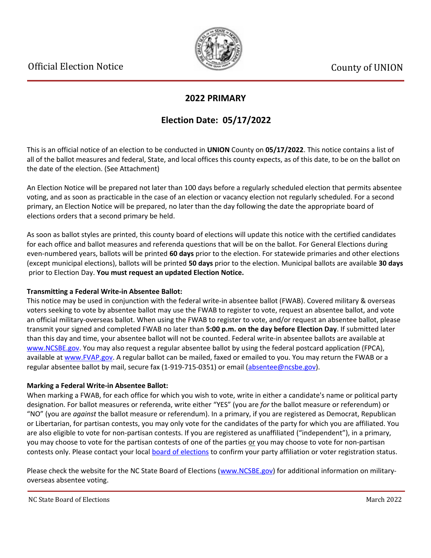

### **2022 PRIMARY**

## **Election Date: 05/17/2022**

This is an official notice of an election to be conducted in **UNION** County on **05/17/2022**. This notice contains a list of all of the ballot measures and federal, State, and local offices this county expects, as of this date, to be on the ballot on the date of the election. (See Attachment)

An Election Notice will be prepared not later than 100 days before a regularly scheduled election that permits absentee voting, and as soon as practicable in the case of an election or vacancy election not regularly scheduled. For a second primary, an Election Notice will be prepared, no later than the day following the date the appropriate board of elections orders that a second primary be held.

As soon as ballot styles are printed, this county board of elections will update this notice with the certified candidates for each office and ballot measures and referenda questions that will be on the ballot. For General Elections during even-numbered years, ballots will be printed **60 days** prior to the election. For statewide primaries and other elections (except municipal elections), ballots will be printed **50 days** prior to the election. Municipal ballots are available **30 days** prior to Election Day. **You must request an updated Election Notice.**

#### **Transmitting a Federal Write-in Absentee Ballot:**

This notice may be used in conjunction with the federal write-in absentee ballot (FWAB). Covered military & overseas voters seeking to vote by absentee ballot may use the FWAB to register to vote, request an absentee ballot, and vote an official military-overseas ballot. When using the FWAB to register to vote, and/or request an absentee ballot, please transmit your signed and completed FWAB no later than **5:00 p.m. on the day before Election Day**. If submitted later than this day and time, your absentee ballot will not be counted. Federal write-in absentee ballots are available at [www.NCSBE.gov.](https://www.ncsbe.gov/) You may also request a regular absentee ballot by using the federal postcard application (FPCA), available at [www.FVAP.gov](https://www.fvap.gov/). A regular ballot can be mailed, faxed or emailed to you. You may return the FWAB or a regular absentee ballot by mail, secure fax (1-919-715-0351) or email (absentee@ncsbe.gov).

#### **Marking a Federal Write-in Absentee Ballot:**

When marking a FWAB, for each office for which you wish to vote, write in either a candidate's name or political party designation. For ballot measures or referenda, write either "YES" (you are *for* the ballot measure or referendum) or "NO" (you are *against* the ballot measure or referendum). In a primary, if you are registered as Democrat, Republican or Libertarian, for partisan contests, you may only vote for the candidates of the party for which you are affiliated. You are also eligible to vote for non-partisan contests. If you are registered as unaffiliated ("independent"), in a primary, you may choose to vote for the partisan contests of one of the parties or you may choose to vote for non-partisan contests only. Please contact your local [board of elections](https://vt.ncsbe.gov/BOEInfo/) to confirm your party affiliation or voter registration status.

Please check the website for the NC State Board of Elections ([www.NCSBE.gov\)](https://www.ncsbe.gov/) for additional information on militaryoverseas absentee voting.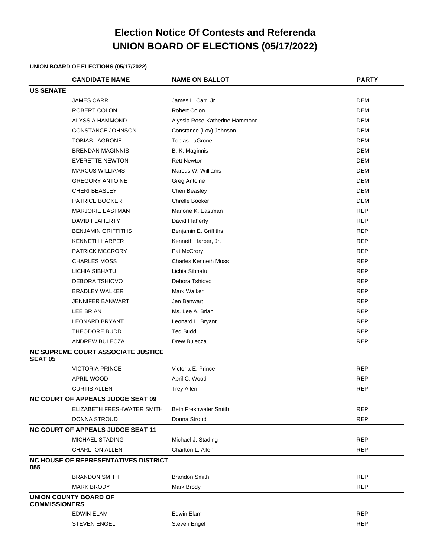# **Election Notice Of Contests and Referenda UNION BOARD OF ELECTIONS (05/17/2022)**

#### **UNION BOARD OF ELECTIONS (05/17/2022)**

|                                          | <b>CANDIDATE NAME</b>                       | <b>NAME ON BALLOT</b>          | <b>PARTY</b> |  |  |
|------------------------------------------|---------------------------------------------|--------------------------------|--------------|--|--|
| <b>US SENATE</b>                         |                                             |                                |              |  |  |
|                                          | <b>JAMES CARR</b>                           | James L. Carr, Jr.             | <b>DEM</b>   |  |  |
|                                          | ROBERT COLON                                | Robert Colon                   | <b>DEM</b>   |  |  |
|                                          | ALYSSIA HAMMOND                             | Alyssia Rose-Katherine Hammond | <b>DEM</b>   |  |  |
|                                          | CONSTANCE JOHNSON                           | Constance (Lov) Johnson        | <b>DEM</b>   |  |  |
|                                          | <b>TOBIAS LAGRONE</b>                       | <b>Tobias LaGrone</b>          | <b>DEM</b>   |  |  |
|                                          | <b>BRENDAN MAGINNIS</b>                     | B. K. Maginnis                 | <b>DEM</b>   |  |  |
|                                          | <b>EVERETTE NEWTON</b>                      | <b>Rett Newton</b>             | <b>DEM</b>   |  |  |
|                                          | <b>MARCUS WILLIAMS</b>                      | Marcus W. Williams             | <b>DEM</b>   |  |  |
|                                          | <b>GREGORY ANTOINE</b>                      | Greg Antoine                   | <b>DEM</b>   |  |  |
|                                          | <b>CHERI BEASLEY</b>                        | Cheri Beasley                  | <b>DEM</b>   |  |  |
|                                          | PATRICE BOOKER                              | <b>Chrelle Booker</b>          | <b>DEM</b>   |  |  |
|                                          | <b>MARJORIE EASTMAN</b>                     | Marjorie K. Eastman            | <b>REP</b>   |  |  |
|                                          | DAVID FLAHERTY                              | David Flaherty                 | <b>REP</b>   |  |  |
|                                          | <b>BENJAMIN GRIFFITHS</b>                   | Benjamin E. Griffiths          | <b>REP</b>   |  |  |
|                                          | <b>KENNETH HARPER</b>                       | Kenneth Harper, Jr.            | <b>REP</b>   |  |  |
|                                          | PATRICK MCCRORY                             | Pat McCrory                    | <b>REP</b>   |  |  |
|                                          | <b>CHARLES MOSS</b>                         | <b>Charles Kenneth Moss</b>    | <b>REP</b>   |  |  |
|                                          | LICHIA SIBHATU                              | Lichia Sibhatu                 | <b>REP</b>   |  |  |
|                                          | DEBORA TSHIOVO                              | Debora Tshiovo                 | <b>REP</b>   |  |  |
|                                          | <b>BRADLEY WALKER</b>                       | Mark Walker                    | <b>REP</b>   |  |  |
|                                          | <b>JENNIFER BANWART</b>                     | Jen Banwart                    | <b>REP</b>   |  |  |
|                                          | <b>LEE BRIAN</b>                            | Ms. Lee A. Brian               | <b>REP</b>   |  |  |
|                                          | <b>LEONARD BRYANT</b>                       | Leonard L. Bryant              | <b>REP</b>   |  |  |
|                                          | THEODORE BUDD                               | <b>Ted Budd</b>                | <b>REP</b>   |  |  |
|                                          | ANDREW BULECZA                              | Drew Bulecza                   | <b>REP</b>   |  |  |
| <b>SEAT 05</b>                           | <b>NC SUPREME COURT ASSOCIATE JUSTICE</b>   |                                |              |  |  |
|                                          | <b>VICTORIA PRINCE</b>                      | Victoria E. Prince             | <b>REP</b>   |  |  |
|                                          | <b>APRIL WOOD</b>                           | April C. Wood                  | <b>REP</b>   |  |  |
|                                          | <b>CURTIS ALLEN</b>                         | <b>Trey Allen</b>              | <b>REP</b>   |  |  |
| <b>NC COURT OF APPEALS JUDGE SEAT 09</b> |                                             |                                |              |  |  |
|                                          | ELIZABETH FRESHWATER SMITH                  | <b>Beth Freshwater Smith</b>   | <b>REP</b>   |  |  |
|                                          | DONNA STROUD                                | Donna Stroud                   | <b>REP</b>   |  |  |
|                                          | <b>NC COURT OF APPEALS JUDGE SEAT 11</b>    |                                |              |  |  |
|                                          | MICHAEL STADING                             | Michael J. Stading             | <b>REP</b>   |  |  |
|                                          | <b>CHARLTON ALLEN</b>                       | Charlton L. Allen              | <b>REP</b>   |  |  |
| 055                                      | <b>NC HOUSE OF REPRESENTATIVES DISTRICT</b> |                                |              |  |  |
|                                          | <b>BRANDON SMITH</b>                        | <b>Brandon Smith</b>           | <b>REP</b>   |  |  |
|                                          | MARK BRODY                                  | Mark Brody                     | <b>REP</b>   |  |  |
| <b>COMMISSIONERS</b>                     | <b>UNION COUNTY BOARD OF</b>                |                                |              |  |  |
|                                          | <b>EDWIN ELAM</b>                           | Edwin Elam                     | <b>REP</b>   |  |  |
|                                          | <b>STEVEN ENGEL</b>                         | Steven Engel                   | <b>REP</b>   |  |  |
|                                          |                                             |                                |              |  |  |